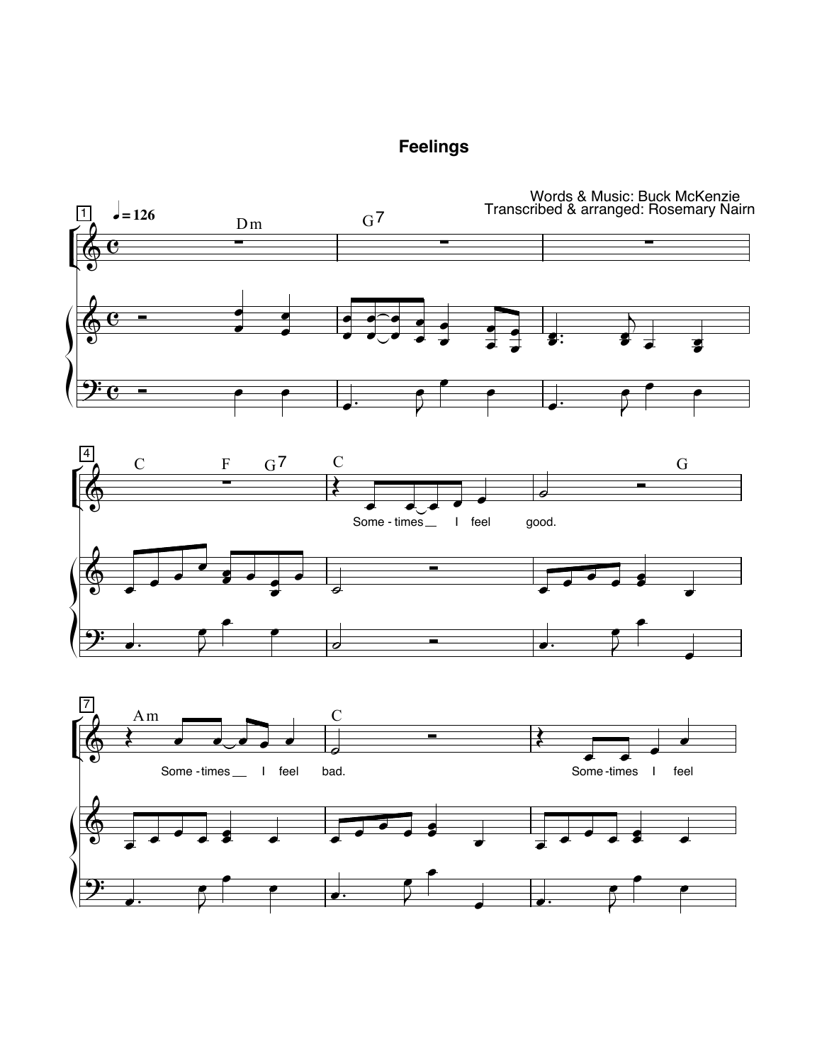

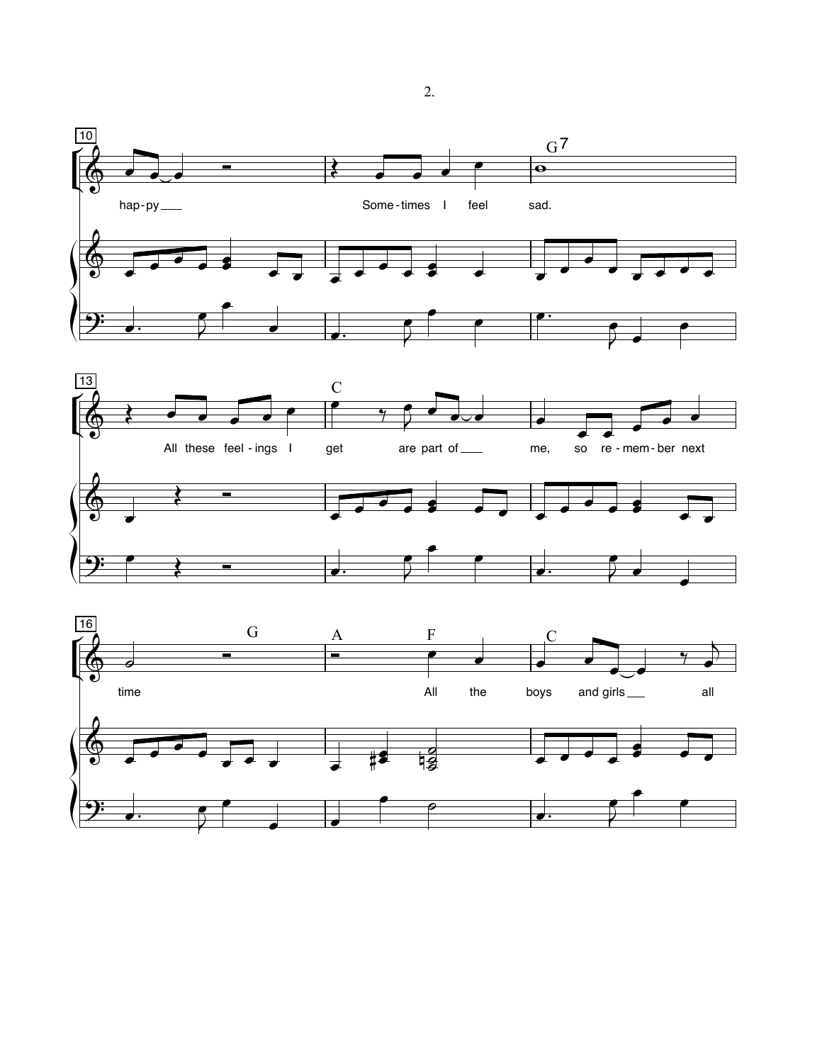



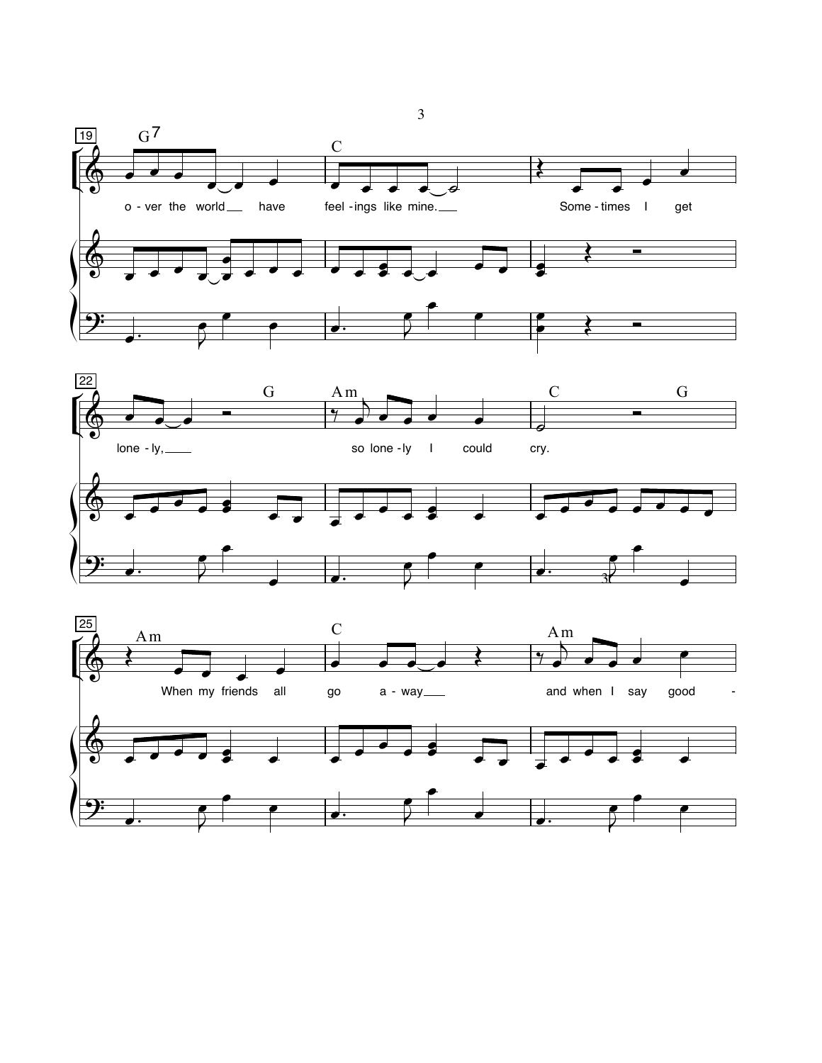





 $\mathfrak{Z}$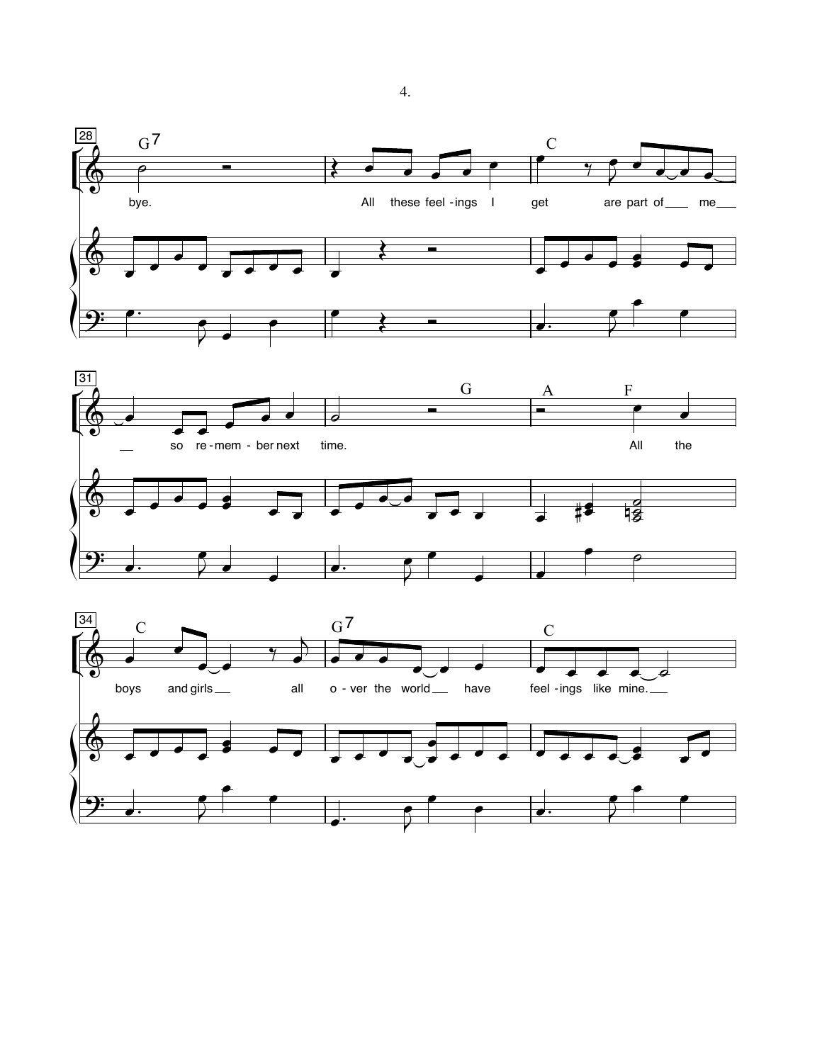



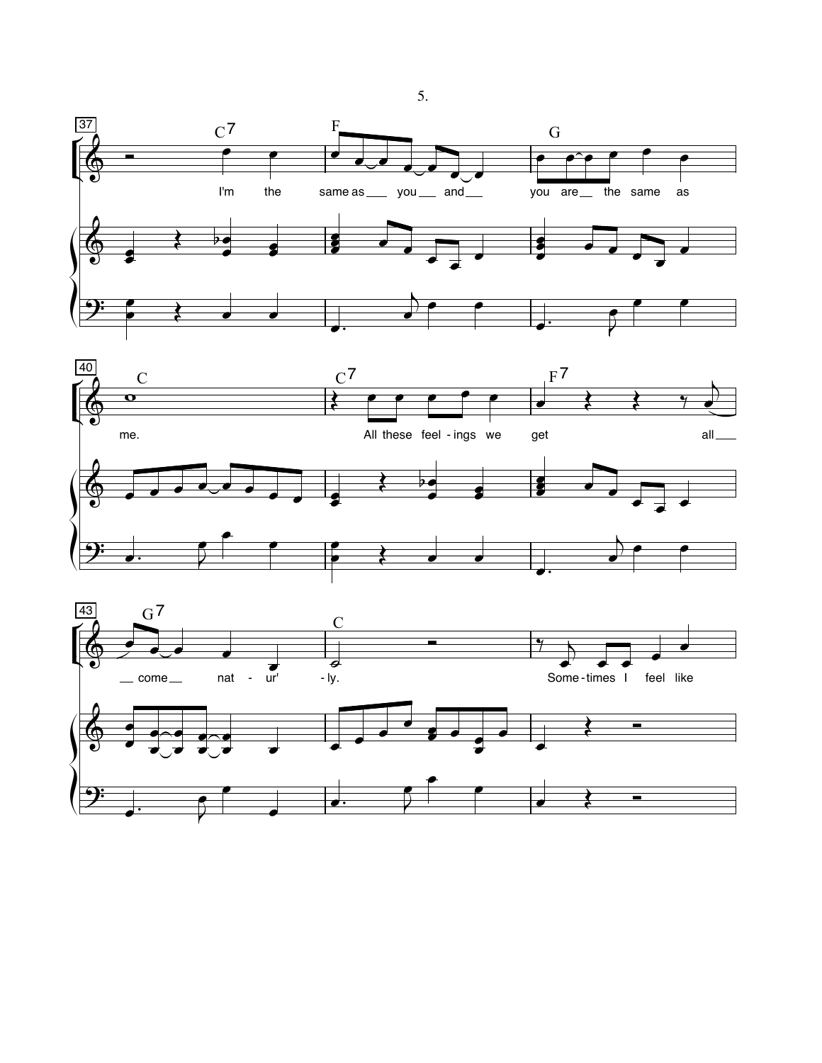





5.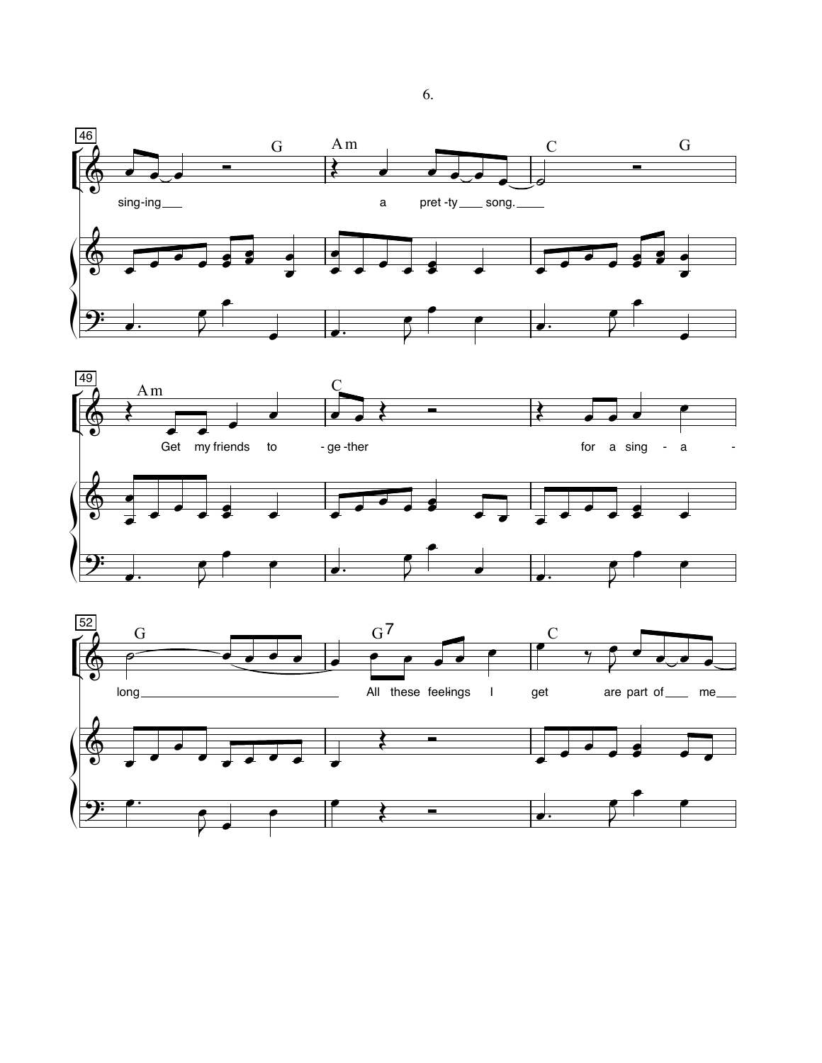



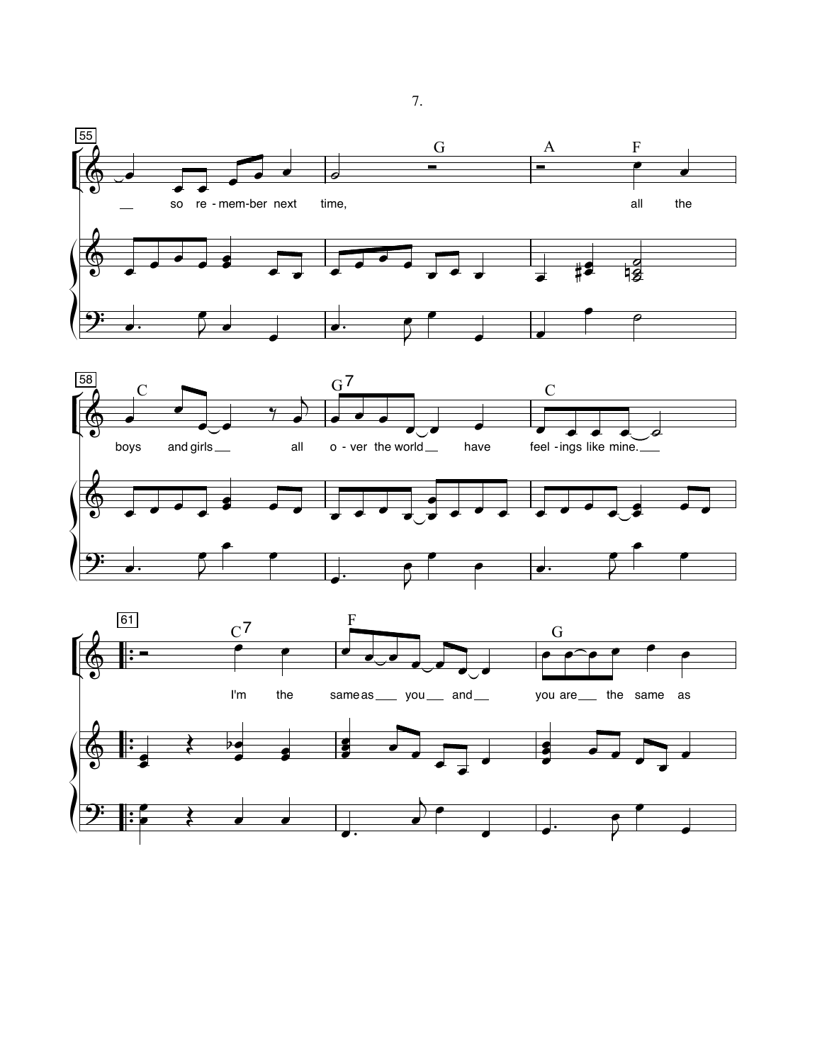